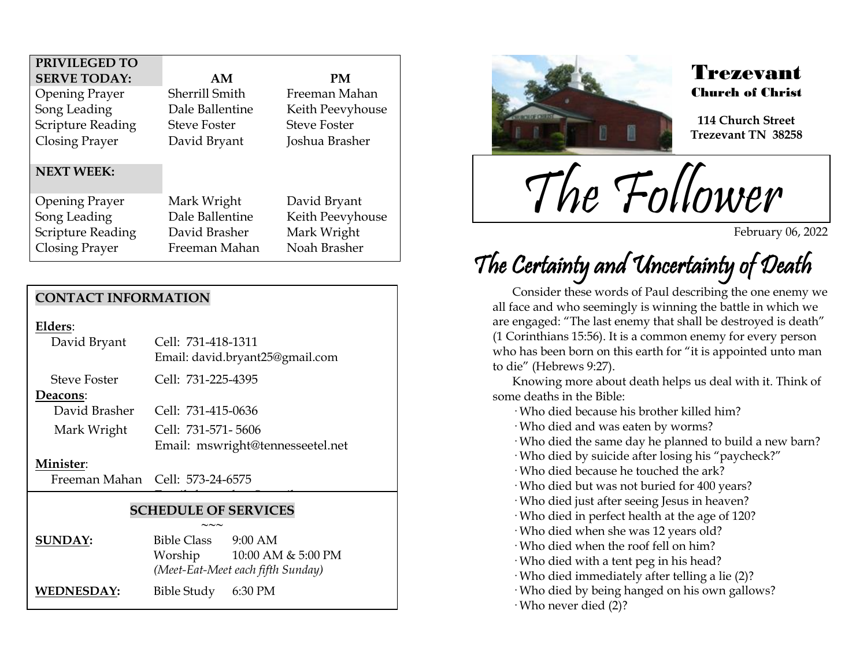| PRIVILEGED TO            |                     |                     |
|--------------------------|---------------------|---------------------|
| <b>SERVE TODAY:</b>      | AM                  | PM                  |
| <b>Opening Prayer</b>    | Sherrill Smith      | Freeman Mahan       |
| Song Leading             | Dale Ballentine     | Keith Peevyhouse    |
| <b>Scripture Reading</b> | <b>Steve Foster</b> | <b>Steve Foster</b> |
| <b>Closing Prayer</b>    | David Bryant        | Joshua Brasher      |
|                          |                     |                     |
| <b>NEXT WEEK:</b>        |                     |                     |
|                          |                     |                     |
| <b>Opening Prayer</b>    | Mark Wright         | David Bryant        |
| Song Leading             | Dale Ballentine     | Keith Peevyhouse    |
| <b>Scripture Reading</b> | David Brasher       | Mark Wright         |
| Closing Prayer           | Freeman Mahan       | Noah Brasher        |

### **CONTACT INFORMATION**

**Elders**:

| David Bryant        | Cell: 731-418-1311<br>Email: david.bryant25@gmail.com |  |
|---------------------|-------------------------------------------------------|--|
| <b>Steve Foster</b> | Cell: 731-225-4395                                    |  |
| Deacons:            |                                                       |  |
| David Brasher       | Cell: 731-415-0636                                    |  |
| Mark Wright         | Cell: 731-571-5606                                    |  |
|                     | Email: mswright@tennesseetel.net                      |  |

#### **Minister**:

Freeman Mahan Cell: 573-24-6575

### **SCHEDULE OF SERVICES**

 $\overline{\phantom{a}}$ 

|                | $\sim\sim\sim$                    |                    |  |
|----------------|-----------------------------------|--------------------|--|
| <b>SUNDAY:</b> | <b>Bible Class</b>                | $9:00$ AM          |  |
|                | Worship                           | 10:00 AM & 5:00 PM |  |
|                | (Meet-Eat-Meet each fifth Sunday) |                    |  |
| WEDNESDAY:     | Bible Study 6:30 PM               |                    |  |



.<br>F

### Trezevant Church of Christ

**114 Church Street Trezevant TN 38258**

The Follower

February 06, 2022

# The Certainty and Uncertainty of Death

Consider these words of Paul describing the one enemy we all face and who seemingly is winning the battle in which we are engaged: "The last enemy that shall be destroyed is death" (1 Corinthians 15:56). It is a common enemy for every person who has been born on this earth for "it is appointed unto man to die" (Hebrews 9:27).

Knowing more about death helps us deal with it. Think of some deaths in the Bible:

· Who died because his brother killed him?

· Who died and was eaten by worms?

· Who died the same day he planned to build a new barn?

· Who died by suicide after losing his "paycheck?"

· Who died because he touched the ark?

· Who died but was not buried for 400 years?

· Who died just after seeing Jesus in heaven?

· Who died in perfect health at the age of 120?

· Who died when she was 12 years old?

· Who died when the roof fell on him?

· Who died with a tent peg in his head?

· Who died immediately after telling a lie (2)?

· Who died by being hanged on his own gallows?

· Who never died (2)?